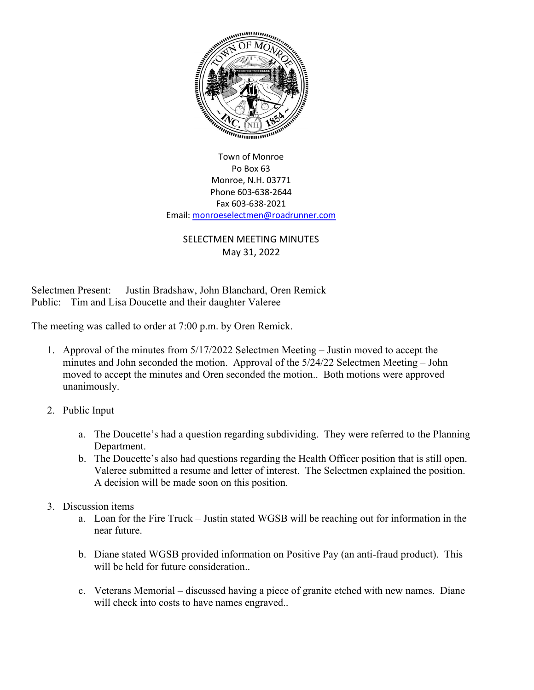

Town of Monroe Po Box 63 Monroe, N.H. 03771 Phone 603-638-2644 Fax 603-638-2021 Email[: monroeselectmen@roadrunner.com](mailto:monroeselectmen@roadrunner.com)

## SELECTMEN MEETING MINUTES May 31, 2022

Selectmen Present: Justin Bradshaw, John Blanchard, Oren Remick Public: Tim and Lisa Doucette and their daughter Valeree

The meeting was called to order at 7:00 p.m. by Oren Remick.

- 1. Approval of the minutes from 5/17/2022 Selectmen Meeting Justin moved to accept the minutes and John seconded the motion. Approval of the 5/24/22 Selectmen Meeting – John moved to accept the minutes and Oren seconded the motion.. Both motions were approved unanimously.
- 2. Public Input
	- a. The Doucette's had a question regarding subdividing. They were referred to the Planning Department.
	- b. The Doucette's also had questions regarding the Health Officer position that is still open. Valeree submitted a resume and letter of interest. The Selectmen explained the position. A decision will be made soon on this position.
- 3. Discussion items
	- a. Loan for the Fire Truck Justin stated WGSB will be reaching out for information in the near future.
	- b. Diane stated WGSB provided information on Positive Pay (an anti-fraud product). This will be held for future consideration...
	- c. Veterans Memorial discussed having a piece of granite etched with new names. Diane will check into costs to have names engraved..